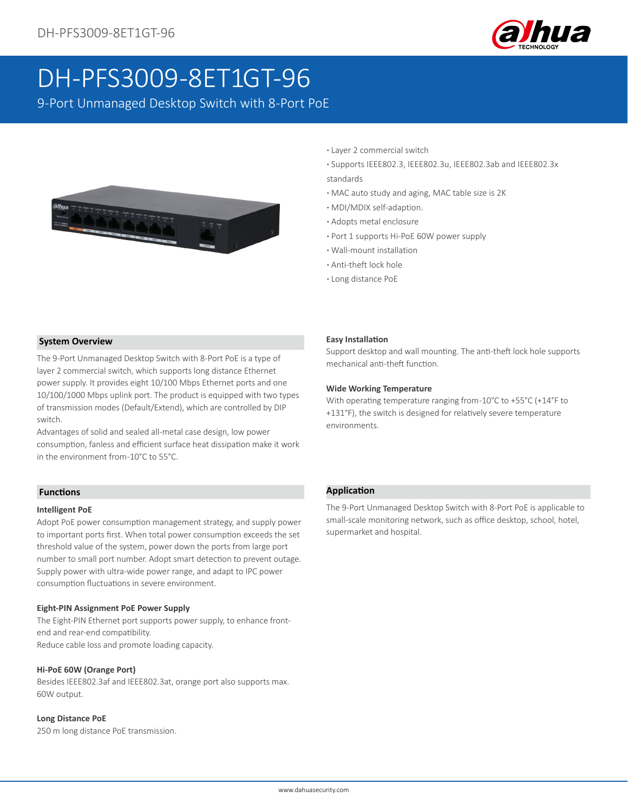

# DH-PFS3009-8ET1GT-96

9-Port Unmanaged Desktop Switch with 8-Port PoE



- **·** Layer 2 commercial switch
- **·** Supports IEEE802.3, IEEE802.3u, IEEE802.3ab and IEEE802.3x standards
- **·** MAC auto study and aging, MAC table size is 2K
- **·** MDI/MDIX self-adaption.
- **·** Adopts metal enclosure
- **·** Port 1 supports Hi-PoE 60W power supply
- **·** Wall-mount installation
- **·** Anti-theft lock hole
- **·** Long distance PoE

## **System Overview**

The 9-Port Unmanaged Desktop Switch with 8-Port PoE is a type of layer 2 commercial switch, which supports long distance Ethernet power supply. It provides eight 10/100 Mbps Ethernet ports and one 10/100/1000 Mbps uplink port. The product is equipped with two types of transmission modes (Default/Extend), which are controlled by DIP switch.

Advantages of solid and sealed all-metal case design, low power consumption, fanless and efficient surface heat dissipation make it work in the environment from -10°C to 55°C.

#### **Functions**

#### **Intelligent PoE**

Adopt PoE power consumption management strategy, and supply power to important ports first. When total power consumption exceeds the set threshold value of the system, power down the ports from large port number to small port number. Adopt smart detection to prevent outage. Supply power with ultra-wide power range, and adapt to IPC power consumption fluctuations in severe environment.

#### **Eight-PIN Assignment PoE Power Supply**

The Eight-PIN Ethernet port supports power supply, to enhance frontend and rear-end compatibility. Reduce cable loss and promote loading capacity.

#### **Hi-PoE 60W (Orange Port)**

Besides IEEE802.3af and IEEE802.3at, orange port also supports max. 60W output.

#### **Long Distance PoE**

250 m long distance PoE transmission.

#### **Easy Installation**

Support desktop and wall mounting. The anti-theft lock hole supports mechanical anti-theft function.

#### **Wide Working Temperature**

With operating temperature ranging from -10°C to +55°C (+14°F to +131°F), the switch is designed for relatively severe temperature environments.

#### **Application**

The 9-Port Unmanaged Desktop Switch with 8-Port PoE is applicable to small-scale monitoring network, such as office desktop, school, hotel, supermarket and hospital.